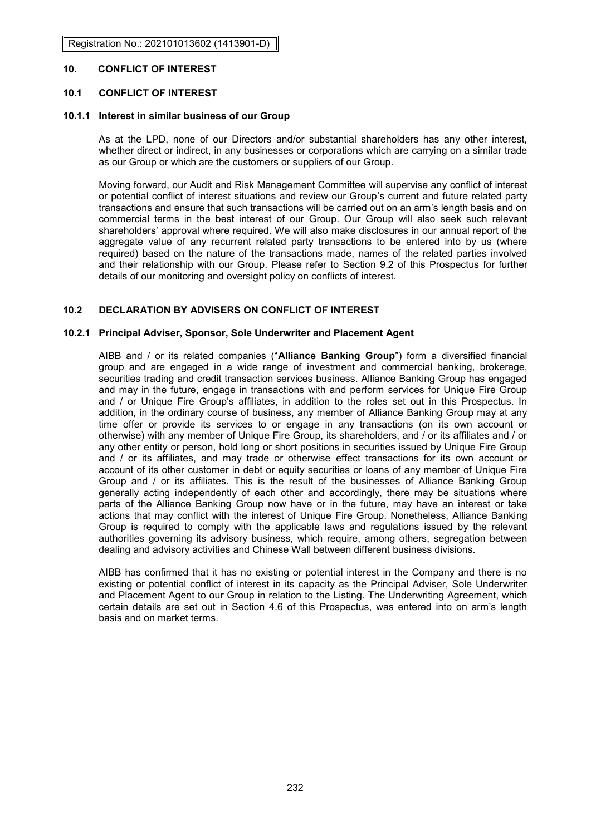### **10. CONFLICT OF INTEREST**

### **10.1 CONFLICT OF INTEREST**

## 10.1.1 Interest in similar business of our Group

As at the LPD, none of our Directors and/or substantial shareholders has any other interest, whether direct or indirect, in any businesses or corporations which are carrying on a similar trade as our Group or which are the customers or suppliers of our Group.

Moving forward, our Audit and Risk Management Committee will supervise any conflict of interest **10.1.1 Interest in similar business of our Group**  or potential conflict of interest situations and review our Group's current and future related party transactions and ensure that such transactions will be carried out on an arm's length basis and on commercial terms in the best interest of our Group. Our Group will also seek such relevant shareholders' approval where required. We will also make disclosures in our annual report of the aggregate value of any recurrent related party transactions to be entered into by us (where required) based on the nature of the transactions made, names of the related parties involved and their relationship with our Group. Please refer to Section 9.2 of this Prospectus for further details of our monitoring and oversight policy on conflicts of interest.

#### **10.2 DECLARATION BY ADVISERS ON CONFLICT OF INTEREST**  DECLARATION BY ADVISERS ON CONFLICT OF INTEREST

#### **10.2.1 Principal Adviser, Sponsor, Sole Underwriter and Placement Agent**  Principal Adviser, Sponsor, Sole Underwriter and Placement Agent

AIBB and / or its related companies ("**Alliance Banking Group**") form a diversified financial group and are engaged in a wide range of investment and commercial banking, brokerage, securities trading and credit transaction services business. Alliance Banking Group has engaged and may in the future, engage in transactions with and perform services for Unique Fire Group and / or Unique Fire Group's affiliates, in addition to the roles set out in this Prospectus. In addition, in the ordinary course of business, any member of Alliance Banking Group may at any time offer or provide its services to or engage in any transactions (on its own account or otherwise) with any member of Unique Fire Group, its shareholders, and / or its affiliates and / or any other entity or person, hold long or short positions in securities issued by Unique Fire Group and / or its affiliates, and may trade or otherwise effect transactions for its own account or account of its other customer in debt or equity securities or loans of any member of Unique Fire Group and / or its affiliates. This is the result of the businesses of Alliance Banking Group generally acting independently of each other and accordingly, there may be situations where parts of the Alliance Banking Group now have or in the future, may have an interest or take actions that may conflict with the interest of Unique Fire Group. Nonetheless, Alliance Banking Group is required to comply with the applicable laws and regulations issued by the relevant authorities governing its advisory business, which require, among others, segregation between dealing and advisory activities and Chinese Wall between different business divisions.

AIBB has confirmed that it has no existing or potential interest in the Company and there is no existing or potential conflict of interest in its capacity as the Principal Adviser, Sole Underwriter and Placement Agent to our Group in relation to the Listing. The Underwriting Agreement, which certain details are set out in Section 4.6 of this Prospectus, was entered into on arm's length basis and on market terms. **Example and Chinese Wall between different business different business different business different business different business different business different business different business different** AIBB has confirmed that it has no existing or potential interest in the Company and there is no